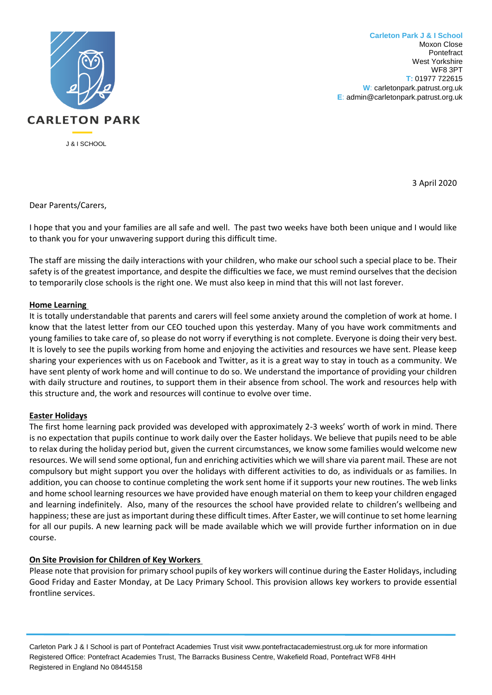

**Carleton Park J & I School** Moxon Close Pontefract West Yorkshire WF8 3PT **T:** 01977 722615 **W**: carletonpark.patrust.org.uk **E**: admin@carletonpark.patrust.org.uk

3 April 2020

Dear Parents/Carers,

I hope that you and your families are all safe and well. The past two weeks have both been unique and I would like to thank you for your unwavering support during this difficult time.

The staff are missing the daily interactions with your children, who make our school such a special place to be. Their safety is of the greatest importance, and despite the difficulties we face, we must remind ourselves that the decision to temporarily close schools is the right one. We must also keep in mind that this will not last forever.

## **Home Learning**

It is totally understandable that parents and carers will feel some anxiety around the completion of work at home. I know that the latest letter from our CEO touched upon this yesterday. Many of you have work commitments and young families to take care of, so please do not worry if everything is not complete. Everyone is doing their very best. It is lovely to see the pupils working from home and enjoying the activities and resources we have sent. Please keep sharing your experiences with us on Facebook and Twitter, as it is a great way to stay in touch as a community. We have sent plenty of work home and will continue to do so. We understand the importance of providing your children with daily structure and routines, to support them in their absence from school. The work and resources help with this structure and, the work and resources will continue to evolve over time.

## **Easter Holidays**

The first home learning pack provided was developed with approximately 2-3 weeks' worth of work in mind. There is no expectation that pupils continue to work daily over the Easter holidays. We believe that pupils need to be able to relax during the holiday period but, given the current circumstances, we know some families would welcome new resources. We will send some optional, fun and enriching activities which we willshare via parent mail. These are not compulsory but might support you over the holidays with different activities to do, as individuals or as families. In addition, you can choose to continue completing the work sent home if it supports your new routines. The web links and home school learning resources we have provided have enough material on them to keep your children engaged and learning indefinitely. Also, many of the resources the school have provided relate to children's wellbeing and happiness; these are just as important during these difficult times. After Easter, we will continue to set home learning for all our pupils. A new learning pack will be made available which we will provide further information on in due course.

# **On Site Provision for Children of Key Workers**

Please note that provision for primary school pupils of key workers will continue during the Easter Holidays, including Good Friday and Easter Monday, at De Lacy Primary School. This provision allows key workers to provide essential frontline services.

Carleton Park J & I School is part of Pontefract Academies Trust visit www.pontefractacademiestrust.org.uk for more information Registered Office: Pontefract Academies Trust, The Barracks Business Centre, Wakefield Road, Pontefract WF8 4HH Registered in England No 08445158